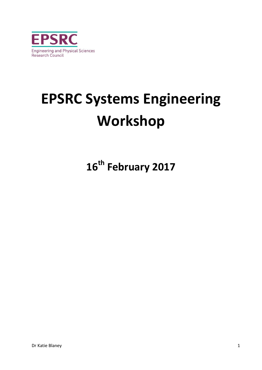

# **EPSRC Systems Engineering Workshop**

**16th February 2017**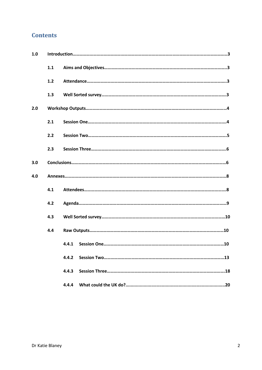# **Contents**

| 1.0 |     |       |
|-----|-----|-------|
|     | 1.1 |       |
|     | 1.2 |       |
|     | 1.3 |       |
| 2.0 |     |       |
|     | 2.1 |       |
|     | 2.2 |       |
|     | 2.3 |       |
| 3.0 |     |       |
| 4.0 |     |       |
|     | 4.1 |       |
|     | 4.2 |       |
|     | 4.3 |       |
|     | 4.4 |       |
|     |     | 4.4.1 |
|     |     | 4.4.2 |
|     |     | 4.4.3 |
|     |     | 4.4.4 |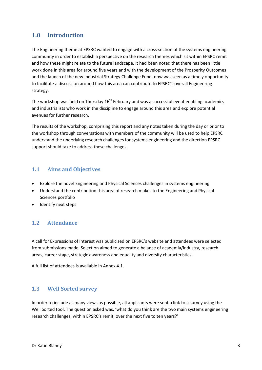# **1.0 Introduction**

The Engineering theme at EPSRC wanted to engage with a cross-section of the systems engineering community in order to establish a perspective on the research themes which sit within EPSRC remit and how these might relate to the future landscape. It had been noted that there has been little work done in this area for around five years and with the development of the Prosperity Outcomes and the launch of the new Industrial Strategy Challenge Fund, now was seen as a timely opportunity to facilitate a discussion around how this area can contribute to EPSRC's overall Engineering strategy.

The workshop was held on Thursday  $16<sup>th</sup>$  February and was a successful event enabling academics and industrialists who work in the discipline to engage around this area and explore potential avenues for further research.

The results of the workshop, comprising this report and any notes taken during the day or prior to the workshop through conversations with members of the community will be used to help EPSRC understand the underlying research challenges for systems engineering and the direction EPSRC support should take to address these challenges.

## **1.1 Aims and Objectives**

- Explore the novel Engineering and Physical Sciences challenges in systems engineering
- Understand the contribution this area of research makes to the Engineering and Physical Sciences portfolio
- Identify next steps

## **1.2 Attendance**

A call for Expressions of Interest was publicised on EPSRC's website and attendees were selected from submissions made. Selection aimed to generate a balance of academia/industry, research areas, career stage, strategic awareness and equality and diversity characteristics.

A full list of attendees is available in Annex 4.1.

## **1.3 Well Sorted survey**

In order to include as many views as possible, all applicants were sent a link to a survey using the Well Sorted tool. The question asked was, 'what do you think are the two main systems engineering research challenges, within EPSRC's remit, over the next five to ten years?'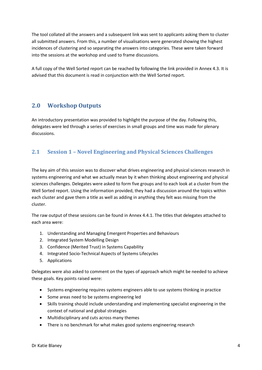The tool collated all the answers and a subsequent link was sent to applicants asking them to cluster all submitted answers. From this, a number of visualisations were generated showing the highest incidences of clustering and so separating the answers into categories. These were taken forward into the sessions at the workshop and used to frame discussions.

A full copy of the Well Sorted report can be reached by following the link provided in Annex 4.3. It is advised that this document is read in conjunction with the Well Sorted report.

# **2.0 Workshop Outputs**

An introductory presentation was provided to highlight the purpose of the day. Following this, delegates were led through a series of exercises in small groups and time was made for plenary discussions.

# **2.1 Session 1 – Novel Engineering and Physical Sciences Challenges**

The key aim of this session was to discover what drives engineering and physical sciences research in systems engineering and what we actually mean by it when thinking about engineering and physical sciences challenges. Delegates were asked to form five groups and to each look at a cluster from the Well Sorted report. Using the information provided, they had a discussion around the topics within each cluster and gave them a title as well as adding in anything they felt was missing from the cluster.

The raw output of these sessions can be found in Annex 4.4.1. The titles that delegates attached to each area were:

- 1. Understanding and Managing Emergent Properties and Behaviours
- 2. Integrated System Modelling Design
- 3. Confidence (Merited Trust) in Systems Capability
- 4. Integrated Socio-Technical Aspects of Systems Lifecycles
- 5. Applications

Delegates were also asked to comment on the types of approach which might be needed to achieve these goals. Key points raised were:

- Systems engineering requires systems engineers able to use systems thinking in practice
- Some areas need to be systems engineering led
- Skills training should include understanding and implementing specialist engineering in the context of national and global strategies
- Multidisciplinary and cuts across many themes
- There is no benchmark for what makes good systems engineering research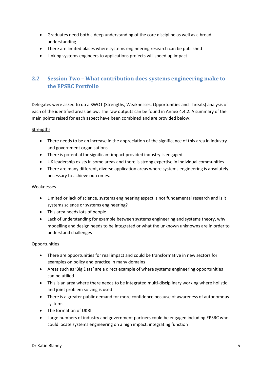- Graduates need both a deep understanding of the core discipline as well as a broad understanding
- There are limited places where systems engineering research can be published
- Linking systems engineers to applications projects will speed up impact

# **2.2 Session Two – What contribution does systems engineering make to the EPSRC Portfolio**

Delegates were asked to do a SWOT (Strengths, Weaknesses, Opportunities and Threats) analysis of each of the identified areas below. The raw outputs can be found in Annex 4.4.2. A summary of the main points raised for each aspect have been combined and are provided below:

#### Strengths

- There needs to be an increase in the appreciation of the significance of this area in industry and government organisations
- There is potential for significant impact provided industry is engaged
- UK leadership exists in some areas and there is strong expertise in individual communities
- There are many different, diverse application areas where systems engineering is absolutely necessary to achieve outcomes.

#### Weaknesses

- Limited or lack of science, systems engineering aspect is not fundamental research and is it systems science or systems engineering?
- This area needs lots of people
- Lack of understanding for example between systems engineering and systems theory, why modelling and design needs to be integrated or what the unknown unknowns are in order to understand challenges

#### **Opportunities**

- There are opportunities for real impact and could be transformative in new sectors for examples on policy and practice in many domains
- Areas such as 'Big Data' are a direct example of where systems engineering opportunities can be utilied
- This is an area where there needs to be integrated multi-disciplinary working where holistic and joint problem solving is used
- There is a greater public demand for more confidence because of awareness of autonomous systems
- The formation of UKRI
- Large numbers of industry and government partners could be engaged including EPSRC who could locate systems engineering on a high impact, integrating function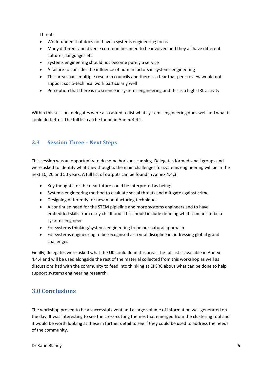#### Threats

- Work funded that does not have a systems engineering focus
- Many different and diverse communities need to be involved and they all have different cultures, languages etc
- Systems engineering should not become purely a service
- A failure to consider the influence of human factors in systems engineering
- This area spans multiple research councils and there is a fear that peer review would not support socio-techincal work particularly well
- Perception that there is no science in systems engineering and this is a high-TRL activity

Within this session, delegates were also asked to list what systems engineering does well and what it could do better. The full list can be found in Annex 4.4.2.

## **2.3 Session Three – Next Steps**

This session was an opportunity to do some horizon scanning. Delegates formed small groups and were asked to identify what they thoughts the main challenges for systems engineering will be in the next 10, 20 and 50 years. A full list of outputs can be found in Annex 4.4.3.

- Key thoughts for the near future could be interpreted as being:
- Systems engineering method to evaluate social threats and mitigate against crime
- Designing differently for new manufacturing techniques
- A continued need for the STEM pipleline and more systems engineers and to have embedded skills from early childhood. This should include defining what it means to be a systems engineer
- For systems thinking/systems engineering to be our natural approach
- For systems engineering to be recognised as a vital discipline in addressing global grand challenges

Finally, delegates were asked what the UK could do in this area. The full list is available in Annex 4.4.4 and will be used alongside the rest of the material collected from this workshop as well as discussions had with the community to feed into thinking at EPSRC about what can be done to help support systems engineering research.

# **3.0 Conclusions**

The workshop proved to be a successful event and a large volume of information was generated on the day. It was interesting to see the cross-cutting themes that emerged from the clustering tool and it would be worth looking at these in further detail to see if they could be used to address the needs of the community.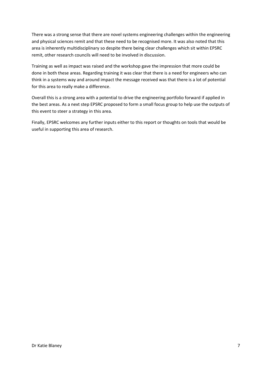There was a strong sense that there are novel systems engineering challenges within the engineering and physical sciences remit and that these need to be recognised more. It was also noted that this area is inherently multidisciplinary so despite there being clear challenges which sit within EPSRC remit, other research councils will need to be involved in discussion.

Training as well as impact was raised and the workshop gave the impression that more could be done in both these areas. Regarding training it was clear that there is a need for engineers who can think in a systems way and around impact the message received was that there is a lot of potential for this area to really make a difference.

Overall this is a strong area with a potential to drive the engineering portfolio forward if applied in the best areas. As a next step EPSRC proposed to form a small focus group to help use the outputs of this event to steer a strategy in this area.

Finally, EPSRC welcomes any further inputs either to this report or thoughts on tools that would be useful in supporting this area of research.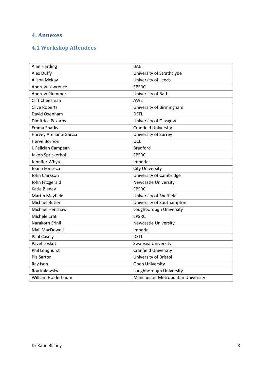# **4. Annexes**

# **4.1 Workshop Attendees**

| Alan Harding             | <b>BAE</b>                         |
|--------------------------|------------------------------------|
| Alex Duffy               | University of Strathclyde          |
| Alison McKay             | University of Leeds                |
| Andrew Lawrence          | <b>EPSRC</b>                       |
| <b>Andrew Plummer</b>    | University of Bath                 |
| <b>Cliff Cheesman</b>    | <b>AWE</b>                         |
| <b>Clive Roberts</b>     | University of Birmingham           |
| David Oxenham            | <b>DSTL</b>                        |
| <b>Dimitrios Pezaros</b> | University of Glasgow              |
| Emma Sparks              | <b>Cranfield University</b>        |
| Harvey Arellano-Garcia   | University of Surrey               |
| <b>Herve Borrion</b>     | UCL                                |
| I. Felician Campean      | <b>Bradford</b>                    |
| Jakob Sprickerhof        | <b>EPSRC</b>                       |
| Jennifer Whyte           | Imperial                           |
| Joana Fonseca            | <b>City University</b>             |
| John Clarkson            | University of Cambridge            |
| John Fitzgerald          | <b>Newcastle University</b>        |
| Katie Blaney             | <b>EPSRC</b>                       |
| Martin Mayfield          | University of Sheffield            |
| <b>Michael Butler</b>    | University of Southampton          |
| Michael Henshaw          | Loughborough University            |
| Michele Erat             | <b>EPSRC</b>                       |
| Narakorn Srinil          | <b>Newcastle University</b>        |
| <b>Niall MacDowell</b>   | Imperial                           |
| Paul Casely              | <b>DSTL</b>                        |
| Pavel Loskot             | <b>Swansea University</b>          |
| Phil Longhurst           | <b>Cranfield University</b>        |
| Pia Sartor               | University of Bristol              |
| Ray Ison                 | <b>Open University</b>             |
| Roy Kalawsky             | Loughborough University            |
| William Holderbaum       | Manchester Metropolitan University |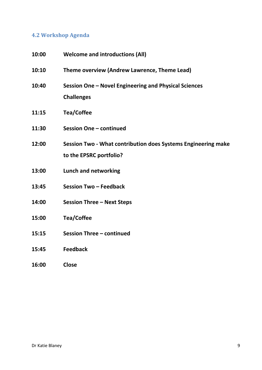# **4.2 Workshop Agenda**

| 10:00 | <b>Welcome and introductions (All)</b>                                                   |
|-------|------------------------------------------------------------------------------------------|
| 10:10 | Theme overview (Andrew Lawrence, Theme Lead)                                             |
| 10:40 | Session One - Novel Engineering and Physical Sciences<br><b>Challenges</b>               |
| 11:15 | <b>Tea/Coffee</b>                                                                        |
| 11:30 | Session One - continued                                                                  |
| 12:00 | Session Two - What contribution does Systems Engineering make<br>to the EPSRC portfolio? |
| 13:00 | <b>Lunch and networking</b>                                                              |
| 13:45 | Session Two - Feedback                                                                   |
| 14:00 | <b>Session Three - Next Steps</b>                                                        |
| 15:00 | <b>Tea/Coffee</b>                                                                        |
| 15:15 | Session Three - continued                                                                |
| 15:45 | <b>Feedback</b>                                                                          |
| 16:00 | <b>Close</b>                                                                             |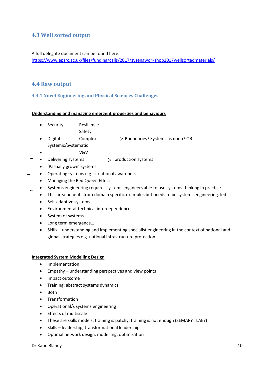## **4.3 Well sorted output**

#### A full delegate document can be found here:

<https://www.epsrc.ac.uk/files/funding/calls/2017/sysengworkshop2017wellsortedmaterials/>

### **4.4 Raw output**

**4.4.1 Novel Engineering and Physical Sciences Challenges**

#### **Understanding and managing emergent properties and behaviours**

- Security Resilience
	- Safety
- Digital **Complex**  $\longrightarrow$  Boundaries? Systems as noun? OR Systemic/Systematic
- V&V
- Delivering systems  $\longrightarrow$  production systems
- 'Partially grown' systems
- Operating systems e.g. situational awareness
- Managing the Red Queen Effect
- Systems engineering requires systems engineers able to use systems thinking in practice
- This area benefits from domain specific examples but needs to be systems engineering. led
- Self-adaptive systems
- Environmental-technical interdependence
- System of systems
- Long term emergence…
- Skills understanding and implementing specialist engineering in the context of national and global strategies e.g. national infrastructure protection

#### **Integrated System Modelling Design**

- Implementation
- Empathy understanding perspectives and view points
- Impact outcome
- Training: abstract systems dynamics
- Both
- Transformation
- Operational/s systems engineering
- Effects of multiscale!
- These are skills models, training is patchy, training is not enough (SEMAP? TLAE?)
- Skills leadership, transformational leadership
- Optimal network design, modelling, optimisation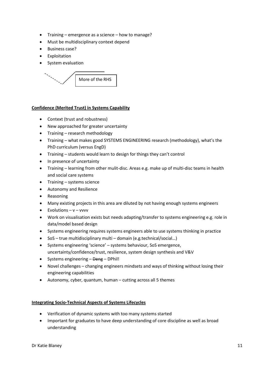- Training emergence as a science how to manage?
- Must be multidisciplinary context depend
- Business case?
- Exploitation
- System evaluation



#### **Confidence (Merited Trust) in Systems Capability**

- Context (trust and robustness)
- New approached for greater uncertainty
- Training research methodology
- Training what makes good SYSTEMS ENGINEERING research (methodology), what's the PhD curriculum (versus EngD)
- Training students would learn to design for things they can't control
- In presence of uncertainty
- Training learning from other mulit-disc. Areas e.g. make up of multi-disc teams in health and social care systems
- Training systems science
- Autonomy and Resilience
- Reasoning
- Many existing projects in this area are diluted by not having enough systems engineers
- $\bullet$  Evolutions v vvvv
- Work on visualisation exists but needs adapting/transfer to systems engineering e.g. role in data/model based design
- Systems engineering requires systems engineers able to use systems thinking in practice
- SoS true multidisciplinary multi domain (e.g.technical/social…)
- Systems engineering 'science' systems behaviour, SoS emergence, uncertainty/confidence/trust, resilience, system design synthesis and V&V
- Systems engineering Deng DPhil!
- Novel challenges changing engineers mindsets and ways of thinking without losing their engineering capabilities
- Autonomy, cyber, quantum, human cutting across all 5 themes

#### **Integrating Socio-Technical Aspects of Systems Lifecycles**

- Verification of dynamic systems with too many systems started
- Important for graduates to have deep understanding of core discipline as well as broad understanding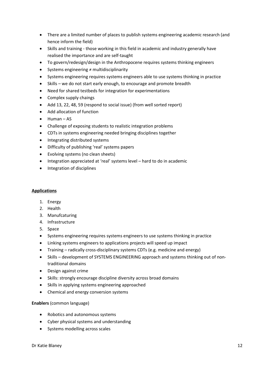- There are a limited number of places to publish systems engineering academic research (and hence inform the field)
- Skills and training those working in this field in academic and industry generally have realised the importance and are self-taught
- To govern/redesign/design in the Anthropocene requires systems thinking engineers
- Systems engineering ≠ multidisciplinarity
- Systems engineering requires systems engineers able to use systems thinking in practice
- Skills we do not start early enough, to encourage and promote breadth
- Need for shared testbeds for integration for experimentations
- Complex supply chaings
- Add 13, 22, 48, 59 (respond to social issue) (from well sorted report)
- Add allocation of function
- Human AS
- Challenge of exposing students to realistic integration problems
- CDTs in systems engineering needed bringing disciplines together
- Integrating distributed systems
- Difficulty of publishing 'real' systems papers
- Evolving systems (no clean sheets)
- Integration appreciated at 'real' systems level hard to do in academic
- Integration of disciplines

#### **Applications**

- 1. Energy
- 2. Health
- 3. Manufcaturing
- 4. Infrastructure
- 5. Space
- Systems engineering requires systems engineers to use systems thinking in practice
- Linking systems engineers to applications projects will speed up impact
- Training radically cross-disciplinary systems CDTs (e.g. medicine and energy)
- Skills development of SYSTEMS ENGINEERING approach and systems thinking out of nontraditional domains
- Design against crime
- Skills: strongly encourage discipline diversity across broad domains
- Skills in applying systems engineering approached
- Chemical and energy conversion systems

#### **Enablers** (common language)

- Robotics and autonomous systems
- Cyber physical systems and understanding
- Systems modelling across scales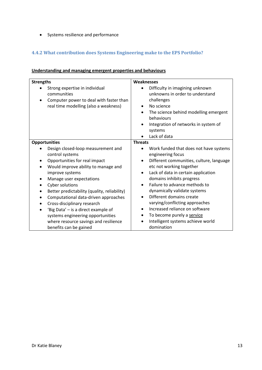• Systems resilience and performance

# **4.4.2 What contribution does Systems Engineering make to the EPS Portfolio?**

| Understanding and managing emergent properties and behaviours |  |
|---------------------------------------------------------------|--|
|---------------------------------------------------------------|--|

| <b>Strengths</b>                                                                                                                                                                                                                                                                                                                                                                                                                                                                                                                                    | Weaknesses                                                                                                                                                                                                                                                                                                                                                                                                                                                                                                                                           |
|-----------------------------------------------------------------------------------------------------------------------------------------------------------------------------------------------------------------------------------------------------------------------------------------------------------------------------------------------------------------------------------------------------------------------------------------------------------------------------------------------------------------------------------------------------|------------------------------------------------------------------------------------------------------------------------------------------------------------------------------------------------------------------------------------------------------------------------------------------------------------------------------------------------------------------------------------------------------------------------------------------------------------------------------------------------------------------------------------------------------|
| Strong expertise in individual<br>communities<br>Computer power to deal with faster than<br>real time modelling (also a weakness)                                                                                                                                                                                                                                                                                                                                                                                                                   | Difficulty in imagining unknown<br>unknowns in order to understand<br>challenges<br>No science<br>$\bullet$<br>The science behind modelling emergent<br>$\bullet$<br>behaviours<br>Integration of networks in system of<br>$\bullet$<br>systems<br>Lack of data                                                                                                                                                                                                                                                                                      |
| <b>Opportunities</b>                                                                                                                                                                                                                                                                                                                                                                                                                                                                                                                                | <b>Threats</b>                                                                                                                                                                                                                                                                                                                                                                                                                                                                                                                                       |
| Design closed-loop measurement and<br>control systems<br>Opportunities for real impact<br>$\bullet$<br>Would improve ability to manage and<br>$\bullet$<br>improve systems<br>Manage user expectations<br>$\bullet$<br>Cyber solutions<br>$\bullet$<br>Better predictability (quality, reliability)<br>$\bullet$<br>Computational data-driven approaches<br>$\bullet$<br>Cross-disciplinary research<br>'Big Data' - is a direct example of<br>systems engineering opportunities<br>where resource savings and resilience<br>benefits can be gained | Work funded that does not have systems<br>engineering focus<br>Different communities, culture, language<br>$\bullet$<br>etc not working together<br>Lack of data in certain application<br>$\bullet$<br>domains inhibits progress<br>Failure to advance methods to<br>$\bullet$<br>dynamically validate systems<br>Different domains create<br>$\bullet$<br>varying/conflicting approaches<br>Increased reliance on software<br>$\bullet$<br>To become purely a service<br>$\bullet$<br>Intelligent systems achieve world<br>$\bullet$<br>domination |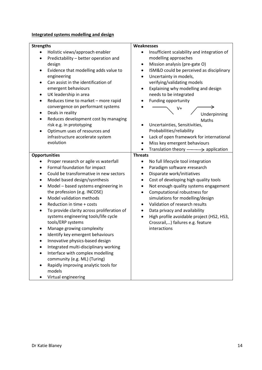## **Integrated systems modelling and design**

| <b>Strengths</b>                                   | Weaknesses                                               |  |
|----------------------------------------------------|----------------------------------------------------------|--|
| Holistic views/approach enabler                    | Insufficient scalability and integration of<br>$\bullet$ |  |
| Predictability - better operation and              | modelling approaches                                     |  |
| design                                             | Mission analysis (pre-gate O)<br>$\bullet$               |  |
| Evidence that modelling adds value to<br>$\bullet$ | ISM&D could be perceived as disciplinary<br>$\bullet$    |  |
| engineering                                        | Uncertainty in models,<br>$\bullet$                      |  |
| Can assist in the identification of                | verifying/validating models                              |  |
| emergent behaviours                                | Explaining why modelling and design<br>$\bullet$         |  |
| UK leadership in area                              | needs to be integrated                                   |  |
| Reduces time to market - more rapid<br>$\bullet$   | Funding opportunity                                      |  |
| convergence on performant systems                  | V+                                                       |  |
| Deals in reality<br>$\bullet$                      | Underpinning                                             |  |
| Reduces development cost by managing               | Maths                                                    |  |
| risk e.g. in prototyping                           | Uncertainties, Sensitivities,                            |  |
| Optimum uses of resources and                      | Probabilities/reliability                                |  |
| infrastructure accelerate system                   | Lack of open framework for international<br>٠            |  |
| evolution                                          | Miss key emergent behaviours                             |  |
|                                                    | Translation theory $\longrightarrow$ application         |  |
| <b>Opportunities</b>                               | <b>Threats</b>                                           |  |
| Proper research or agile vs waterfall              | No full lifecycle tool integration<br>$\bullet$          |  |
| Formal foundation for impact                       | Paradigm software ≠research                              |  |
| Could be transformative in new sectors             | Disparate work/initiatives<br>٠                          |  |
| Model based design/sysnthesis                      | Cost of developing high quality tools<br>$\bullet$       |  |
| Model - based systems engineering in               | Not enough quality systems engagement<br>$\bullet$       |  |
| the profession (e.g. INCOSE)                       | Computational robustness for<br>$\bullet$                |  |
| Model validation methods                           | simulations for modelling/design                         |  |
| Reduction in time + costs                          | Validation of research results                           |  |
| To provide clarity across proliferation of         | Data privacy and availability                            |  |
| systems engineering tools/life cycle               | High profile avoidable project (HS2, HS3,<br>$\bullet$   |  |
| tools/ERP systems                                  | Crossrail,) failures e.g. feature                        |  |
| Manage growing complexity                          | interactions                                             |  |
| Identify key emergent behaviours                   |                                                          |  |
| Innovative physics-based design                    |                                                          |  |
| Integrated multi-disciplinary working              |                                                          |  |
| Interface with complex modelling                   |                                                          |  |
| community (e.g. ML) (Turing)                       |                                                          |  |
| Rapidly improving analytic tools for               |                                                          |  |
| models                                             |                                                          |  |
| Virtual engineering                                |                                                          |  |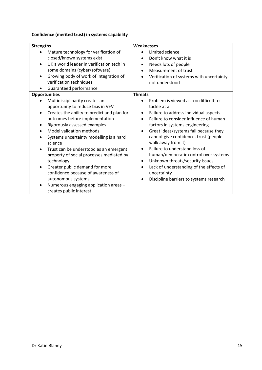## **Confidence (merited trust) in systems capability**

| <b>Strengths</b>                                                                                                                                                                                                                                                                                                                                                                                                                                                                                                                                                                       | Weaknesses                                                                                                                                                                                                                                                                                                                                                                                                                                                                                                                                                                            |
|----------------------------------------------------------------------------------------------------------------------------------------------------------------------------------------------------------------------------------------------------------------------------------------------------------------------------------------------------------------------------------------------------------------------------------------------------------------------------------------------------------------------------------------------------------------------------------------|---------------------------------------------------------------------------------------------------------------------------------------------------------------------------------------------------------------------------------------------------------------------------------------------------------------------------------------------------------------------------------------------------------------------------------------------------------------------------------------------------------------------------------------------------------------------------------------|
| Mature technology for verification of<br>closed/known systems exist<br>UK a world leader in verification tech in<br>some domains (cyber/software)<br>Growing body of work of integration of<br>٠<br>verification techniques<br>Guaranteed performance                                                                                                                                                                                                                                                                                                                                  | Limited science<br>Don't know what it is<br>$\bullet$<br>Needs lots of people<br>$\bullet$<br>Measurement of trust<br>$\bullet$<br>Verification of systems with uncertainty<br>not understood                                                                                                                                                                                                                                                                                                                                                                                         |
| <b>Opportunities</b><br>Multidisciplinarity creates an<br>opportunity to reduce bias in V+V<br>Creates the ability to predict and plan for<br>outcomes before implementation<br>Rigorously assessed examples<br>Model validation methods<br>Systems uncertainty modelling is a hard<br>science<br>Trust can be understood as an emergent<br>$\bullet$<br>property of social processes mediated by<br>technology<br>Greater public demand for more<br>٠<br>confidence because of awareness of<br>autonomous systems<br>Numerous engaging application areas -<br>creates public interest | <b>Threats</b><br>Problem is viewed as too difficult to<br>tackle at all<br>Failure to address individual aspects<br>٠<br>Failure to consider influence of human<br>$\bullet$<br>factors in systems engineering<br>Great ideas/systems fail because they<br>$\bullet$<br>cannot give confidence, trust (people<br>walk away from it)<br>Failure to understand loss of<br>$\bullet$<br>human/democratic control over systems<br>Unknown threats/security issues<br>٠<br>Lack of understanding of the effects of<br>$\bullet$<br>uncertainty<br>Discipline barriers to systems research |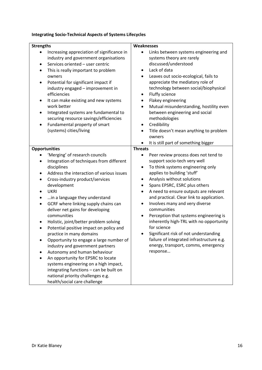## **Integrating Socio-Technical Aspects of Systems Lifecycles**

| <b>Strengths</b>                                                                                                                                                                                                                                                                                                                                                                                                                                                                                                                                                                                                                                                                                                                                                                                                                    | Weaknesses                                                                                                                                                                                                                                                                                                                                                                                                                                                                                                                                                                                                                                                        |  |
|-------------------------------------------------------------------------------------------------------------------------------------------------------------------------------------------------------------------------------------------------------------------------------------------------------------------------------------------------------------------------------------------------------------------------------------------------------------------------------------------------------------------------------------------------------------------------------------------------------------------------------------------------------------------------------------------------------------------------------------------------------------------------------------------------------------------------------------|-------------------------------------------------------------------------------------------------------------------------------------------------------------------------------------------------------------------------------------------------------------------------------------------------------------------------------------------------------------------------------------------------------------------------------------------------------------------------------------------------------------------------------------------------------------------------------------------------------------------------------------------------------------------|--|
| Increasing appreciation of significance in<br>industry and government organisations<br>Services oriented - user centric<br>$\bullet$<br>This is really important to problem<br>owners<br>Potential for significant impact if<br>$\bullet$<br>industry engaged - improvement in<br>efficiencies<br>It can make existing and new systems<br>٠<br>work better<br>Integrated systems are fundamental to<br>$\bullet$<br>securing resource savings/efficiencies<br>Fundamental property of smart<br>$\bullet$<br>(systems) cities/living                                                                                                                                                                                                                                                                                                 | Links between systems engineering and<br>systems theory are rarely<br>discussed/understood<br>Lack of data<br>٠<br>Leaves out socio-ecological, fails to<br>$\bullet$<br>appreciate the mediatory role of<br>technology between social/biophysical<br>Fluffy science<br>٠<br>Flakey engineering<br>$\bullet$<br>Mutual misunderstanding, hostility even<br>$\bullet$<br>between engineering and social<br>methodologies<br>Credibility<br>$\bullet$<br>Title doesn't mean anything to problem<br>owners<br>It is still part of something bigger                                                                                                                   |  |
|                                                                                                                                                                                                                                                                                                                                                                                                                                                                                                                                                                                                                                                                                                                                                                                                                                     | <b>Threats</b>                                                                                                                                                                                                                                                                                                                                                                                                                                                                                                                                                                                                                                                    |  |
| <b>Opportunities</b><br>'Merging' of research councils<br>Integration of techniques from different<br>٠<br>disciplines<br>Address the interaction of various issues<br>Cross-industry product/services<br>٠<br>development<br><b>UKRI</b><br>$\bullet$<br>in a language they understand<br>GCRF where linking supply chains can<br>$\bullet$<br>deliver net gains for developing<br>communities<br>Holistic, joint/better problem solving<br>٠<br>Potential positive impact on policy and<br>practice in many domains<br>Opportunity to engage a large number of<br>industry and government partners<br>Autonomy and human behaviour<br>An opportunity for EPSRC to locate<br>systems engineering on a high impact,<br>integrating functions - can be built on<br>national priority challenges e.g.<br>health/social care challenge | Peer review process does not tend to<br>support socio-tech very well<br>To think systems engineering only<br>$\bullet$<br>applies to building 'stuff'<br>Analysis without solutions<br>$\bullet$<br>Spans EPSRC, ESRC plus others<br>$\bullet$<br>A need to ensure outputs are relevant<br>$\bullet$<br>and practical. Clear link to application.<br>Involves many and very diverse<br>$\bullet$<br>communities<br>Perception that systems engineering is<br>٠<br>inherently high-TRL with no opportunity<br>for science<br>Significant risk of not understanding<br>failure of integrated infrastructure e.g.<br>energy, transport, comms, emergency<br>response |  |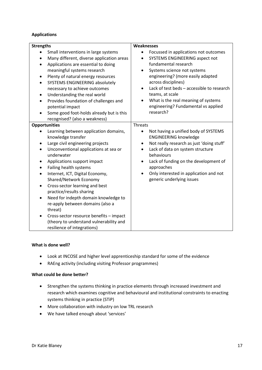#### **Applications**

| <b>Strengths</b>                                                                                                                                                                                                                                                                                                                                                                                                                                                                                                                                                                                                                | Weaknesses                                                                                                                                                                                                                                                                                                                                                                                                        |
|---------------------------------------------------------------------------------------------------------------------------------------------------------------------------------------------------------------------------------------------------------------------------------------------------------------------------------------------------------------------------------------------------------------------------------------------------------------------------------------------------------------------------------------------------------------------------------------------------------------------------------|-------------------------------------------------------------------------------------------------------------------------------------------------------------------------------------------------------------------------------------------------------------------------------------------------------------------------------------------------------------------------------------------------------------------|
| Small interventions in large systems<br>Many different, diverse application areas<br>Applications are essential to doing<br>$\bullet$<br>meaningful systems research<br>Plenty of natural energy resources<br>$\bullet$<br>SYSTEMS ENGINEERING absolutely<br>$\bullet$<br>necessary to achieve outcomes<br>Understanding the real world<br>٠<br>Provides foundation of challenges and<br>٠<br>potential impact<br>Some good foot-holds already but is this<br>recognised? (also a weakness)                                                                                                                                     | Focussed in applications not outcomes<br><b>SYSTEMS ENGINEERING aspect not</b><br>$\bullet$<br>fundamental research<br>Systems science not systems<br>$\bullet$<br>engineering? (more easily adapted<br>across disciplines)<br>Lack of test beds - accessible to research<br>$\bullet$<br>teams, at scale<br>What is the real meaning of systems<br>$\bullet$<br>engineering? Fundamental vs applied<br>research? |
| <b>Opportunities</b><br>Learning between application domains,<br>knowledge transfer<br>Large civil engineering projects<br>Unconventional applications at sea or<br>٠<br>underwater<br>Applications support impact<br>٠<br>Failing health systems<br>$\bullet$<br>Internet, ICT, Digital Economy,<br>Shared/Network Economy<br>Cross-sector learning and best<br>$\bullet$<br>practice/results sharing<br>Need for indepth domain knowledge to<br>$\bullet$<br>re-apply between domains (also a<br>threat)<br>Cross-sector resource benefits - impact<br>(theory to understand vulnerability and<br>resilience of integrations) | <b>Threats</b><br>Not having a unified body of SYSTEMS<br>$\bullet$<br><b>ENGINEERING knowledge</b><br>Not really research as just 'doing stuff'<br>٠<br>Lack of data on system structure<br>$\bullet$<br>behaviours<br>Lack of funding on the development of<br>$\bullet$<br>approaches<br>Only interested in application and not<br>generic underlying issues                                                   |

#### **What is done well?**

- Look at INCOSE and higher level apprenticeship standard for some of the evidence
- RAEng activity (including visiting Professor programmes)

#### **What could be done better?**

- Strengthen the systems thinking in practice elements through increased investment and research which examines cognitive and behavioural and institutional constraints to enacting systems thinking in practice (STiP)
- More collaboration with industry on low TRL research
- We have talked enough about 'services'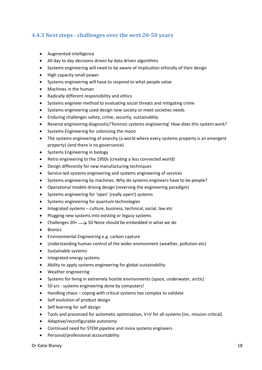## **4.4.3 Next steps - challenges over the next 20-50 years**

- Augmented intelligence
- All day to day decisions driven by data driven algorithms
- Systems engineering will need to be aware of implication ethically of their design
- High capacity small power
- Systems engineering will have to respond to what people value
- Machines in the human
- Radically different responsibility and ethics
- Systems engineer method to evaluating social threats and mitigating crime
- Systems engineering used design new society or meet societies needs
- Enduring challenges safety, crime, security, sustainablity
- Reverse engineering diagnostic/'forensic systems engineering' How does this system work?
- Systems Engineering for colonising the moon
- The systems engineering of anarchy (a world where every systems property is an emergent property) (and there is no governance)
- Systems Engineering in biology
- Retro engineering to the 1950s (creating a less connected world)
- Design differently for new manufacturing techniques
- Service-led systems engineering and systems engineering of services
- Systems engineering by machines. Why do systems engineers have to be people?
- Operational models driving design (reversing the engineering paradigm)
- Systems engineering for 'open' (really open!) systems
- Systems engineering for quantum technologies
- Integrated systems culture, business, technical, social, law etc
- Plugging new systems into existing or legacy systems
- Challenges  $20^+ \longrightarrow 50$  None should be embedded in what we do
- Bionics
- Environmental Engineering e.g. carbon capture
- Understanding human control of the wider environment (weather, pollution etc)
- Sustainable systems
- Integrated energy systems
- Ability to apply systems engineering for global sustainability
- Weather engineering
- Systems for living in extremely hostile environments (space, underwater, arctic)
- 50 yrs systems engineering done by computers!
- Handling chaos coping with critical systems too complex to validate
- Self evolution of product design
- Self learning for self design
- Tools and processed for automatic optimisation, V+V for all systems (inc. mission critical)
- Adaptive/reconfigurable autonomy
- Continued need for STEM pipeline and more systems engineers
- Personal/professional accountability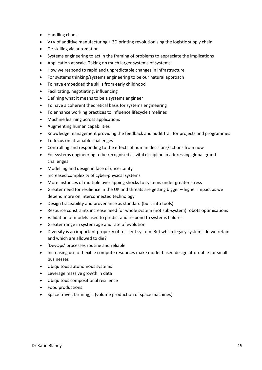- Handling chaos
- V+V of additive manufacturing + 3D printing revolutionising the logistic supply chain
- De-skilling via automation
- Systems engineering to act in the framing of problems to appreciate the implications
- Application at scale. Taking on much larger systems of systems
- How we respond to rapid and unpredictable changes in infrastructure
- For systems thinking/systems engineering to be our natural approach
- To have embedded the skills from early childhood
- Facilitating, negotiating, influencing
- Defining what it means to be a systems engineer
- To have a coherent theoretical basis for systems engineering
- To enhance working practices to influence lifecycle timelines
- Machine learning across applications
- Augmenting human capabilities
- Knowledge management providing the feedback and audit trail for projects and programmes
- To focus on attainable challenges
- Controlling and responding to the effects of human decisions/actions from now
- For systems engineering to be recognised as vital discipline in addressing global grand challenges
- Modelling and design in face of uncertainty
- Increased complexity of cyber-physical systems
- More instances of multiple overlapping shocks to systems under greater stress
- Greater need for resilience in the UK and threats are getting bigger higher impact as we depend more on interconnected technology
- Design traceability and provenance as standard (built into tools)
- Resource constraints increase need for whole system (not sub-system) robots optimisations
- Validation of models used to predict and respond to systems failures
- Greater range in system age and rate of evolution
- Diversity is an important property of resilient system. But which legacy systems do we retain and which are allowed to die?
- 'DevOps' processes routine and reliable
- Increasing use of flexible compute resources make model-based design affordable for small businesses
- Ubiquitous autonomous systems
- Leverage massive growth in data
- Ubiquitous compositional resilience
- Food productions
- Space travel, farming,… (volume production of space machines)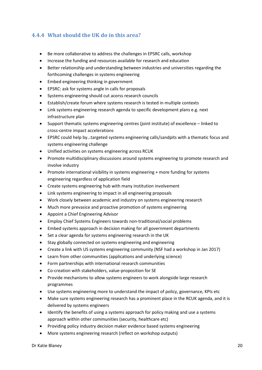## **4.4.4 What should the UK do in this area?**

- Be more collaborative to address the challenges in EPSRC calls, workshop
- Increase the funding and resources available for research and education
- Better relationship and understanding between industries and universities regarding the forthcoming challenges in systems engineering
- Embed engineering thinking in government
- EPSRC: ask for systems angle in calls for proposals
- Systems engineering should cut acorss research councils
- Establish/create forum where systems research is tested in multiple contexts
- Link systems engineering research agenda to specific development plans e.g. next infrastructure plan
- Support thematic systems engineering centres (joint institute) of excellence linked to cross-centre impact accelerations
- EPSRC could help by…targeted systems engineering calls/sandpits with a thematic focus and systems engineering challenge
- Unified activities on systems engineering across RCUK
- Promote multidisciplinary discussions around systems engineering to promote research and involve industry
- Promote international visibility in systems engineering + more funding for systems engineering regardless of application field
- Create systems engineering hub with many institution involvement
- Link systems engineering to impact in all engineering proposals
- Work closely between academic and industry on systems engineering research
- Much more prevasice and proactive promotion of systems engineering
- Appoint a Chief Engineering Advisor
- Employ Chief Systems Engineers towards non-traditional/social problems
- Embed systems approach in decision making for all government departments
- Set a clear agenda for systems engineering research in the UK
- Stay globally connected on systems engineering and engineering
- Create a link with US systems engineering community (NSF had a workshop in Jan 2017)
- Learn from other communities (applications and underlying science)
- Form partnerships with international research communities
- Co-creation with stakeholders, value-proposition for SE
- Provide mechanisms to allow systems engineers to work alongside large research programmes
- Use systems engineering more to understand the impact of policy, governance, KPIs etc
- Make sure systems engineering research has a prominent place in the RCUK agenda, and it is delivered by systems engineers
- Identify the benefits of using a systems approach for policy making and use a systems approach within other communities (security, healthcare etc)
- Providing policy industry decision maker evidence based systems engineering
- More systems engineering research (reflect on workshop outputs)